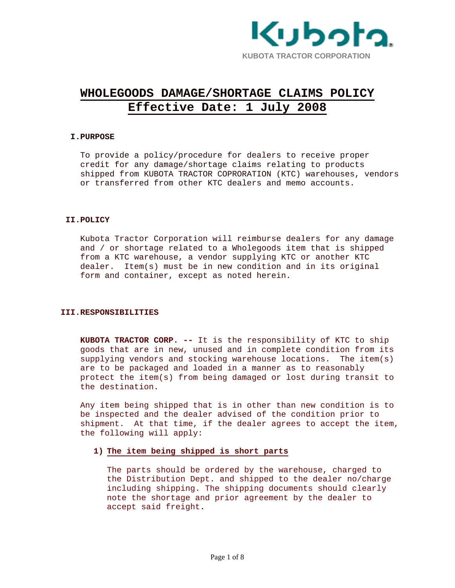

# **WHOLEGOODS DAMAGE/SHORTAGE CLAIMS POLICY Effective Date: 1 July 2008**

## **I.PURPOSE**

To provide a policy/procedure for dealers to receive proper credit for any damage/shortage claims relating to products shipped from KUBOTA TRACTOR COPRORATION (KTC) warehouses, vendors or transferred from other KTC dealers and memo accounts.

## **II.POLICY**

Kubota Tractor Corporation will reimburse dealers for any damage and / or shortage related to a Wholegoods item that is shipped from a KTC warehouse, a vendor supplying KTC or another KTC dealer. Item(s) must be in new condition and in its original form and container, except as noted herein.

#### **III.RESPONSIBILITIES**

**KUBOTA TRACTOR CORP. --** It is the responsibility of KTC to ship goods that are in new, unused and in complete condition from its supplying vendors and stocking warehouse locations. The item(s) are to be packaged and loaded in a manner as to reasonably protect the item(s) from being damaged or lost during transit to the destination.

Any item being shipped that is in other than new condition is to be inspected and the dealer advised of the condition prior to shipment. At that time, if the dealer agrees to accept the item, the following will apply:

## **1) The item being shipped is short parts**

The parts should be ordered by the warehouse, charged to the Distribution Dept. and shipped to the dealer no/charge including shipping. The shipping documents should clearly note the shortage and prior agreement by the dealer to accept said freight**.**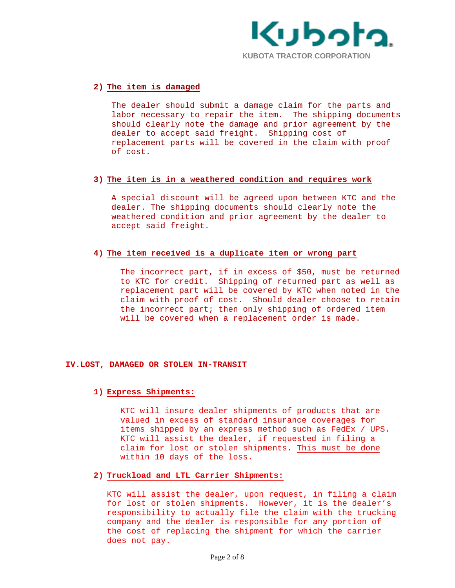

## **2) The item is damaged**

The dealer should submit a damage claim for the parts and labor necessary to repair the item. The shipping documents should clearly note the damage and prior agreement by the dealer to accept said freight. Shipping cost of replacement parts will be covered in the claim with proof of cost.

## **3) The item is in a weathered condition and requires work**

A special discount will be agreed upon between KTC and the dealer. The shipping documents should clearly note the weathered condition and prior agreement by the dealer to accept said freight.

## **4) The item received is a duplicate item or wrong part**

The incorrect part, if in excess of \$50, must be returned to KTC for credit. Shipping of returned part as well as replacement part will be covered by KTC when noted in the claim with proof of cost. Should dealer choose to retain the incorrect part; then only shipping of ordered item will be covered when a replacement order is made.

## **IV.LOST, DAMAGED OR STOLEN IN-TRANSIT**

## **1) Express Shipments:**

KTC will insure dealer shipments of products that are valued in excess of standard insurance coverages for items shipped by an express method such as FedEx / UPS. KTC will assist the dealer, if requested in filing a claim for lost or stolen shipments. This must be done within 10 days of the loss.

## **2) Truckload and LTL Carrier Shipments:**

KTC will assist the dealer, upon request, in filing a claim for lost or stolen shipments. However, it is the dealer's responsibility to actually file the claim with the trucking company and the dealer is responsible for any portion of the cost of replacing the shipment for which the carrier does not pay.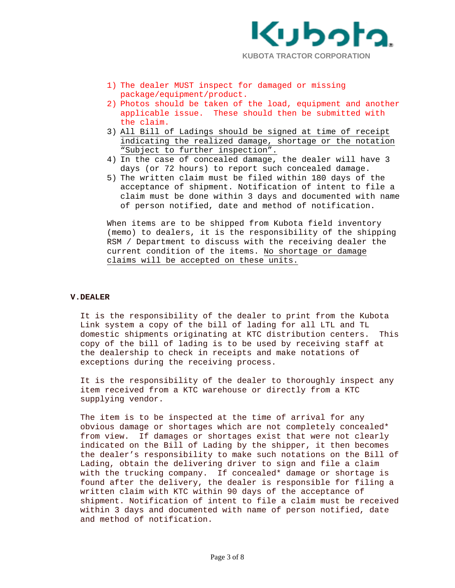

- 1) The dealer MUST inspect for damaged or missing package/equipment/product.
- 2) Photos should be taken of the load, equipment and another applicable issue. These should then be submitted with the claim.
- 3) All Bill of Ladings should be signed at time of receipt indicating the realized damage, shortage or the notation "Subject to further inspection".
- 4) In the case of concealed damage, the dealer will have 3 days (or 72 hours) to report such concealed damage.
- 5) The written claim must be filed within 180 days of the acceptance of shipment. Notification of intent to file a claim must be done within 3 days and documented with name of person notified, date and method of notification.

When items are to be shipped from Kubota field inventory (memo) to dealers, it is the responsibility of the shipping RSM / Department to discuss with the receiving dealer the current condition of the items. No shortage or damage claims will be accepted on these units.

### **V.DEALER**

It is the responsibility of the dealer to print from the Kubota Link system a copy of the bill of lading for all LTL and TL domestic shipments originating at KTC distribution centers. This copy of the bill of lading is to be used by receiving staff at the dealership to check in receipts and make notations of exceptions during the receiving process.

It is the responsibility of the dealer to thoroughly inspect any item received from a KTC warehouse or directly from a KTC supplying vendor.

The item is to be inspected at the time of arrival for any obvious damage or shortages which are not completely concealed\* from view. If damages or shortages exist that were not clearly indicated on the Bill of Lading by the shipper, it then becomes the dealer's responsibility to make such notations on the Bill of Lading, obtain the delivering driver to sign and file a claim with the trucking company. If concealed\* damage or shortage is found after the delivery, the dealer is responsible for filing a written claim with KTC within 90 days of the acceptance of shipment. Notification of intent to file a claim must be received within 3 days and documented with name of person notified, date and method of notification.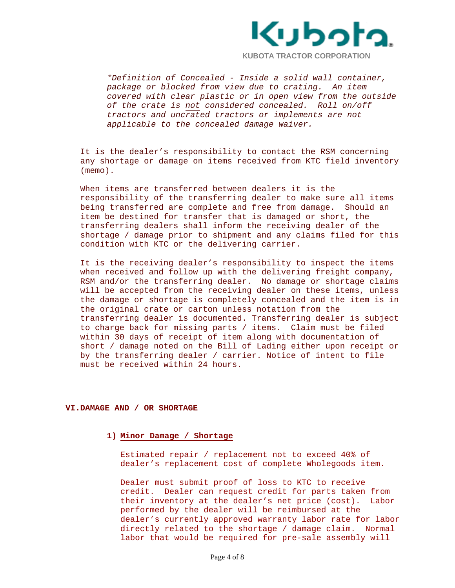

*\*Definition of Concealed - Inside a solid wall container, package or blocked from view due to crating. An item covered with clear plastic or in open view from the outside of the crate is not considered concealed. Roll on/off tractors and uncrated tractors or implements are not applicable to the concealed damage waiver.* 

It is the dealer's responsibility to contact the RSM concerning any shortage or damage on items received from KTC field inventory (memo).

When items are transferred between dealers it is the responsibility of the transferring dealer to make sure all items being transferred are complete and free from damage. Should an item be destined for transfer that is damaged or short, the transferring dealers shall inform the receiving dealer of the shortage / damage prior to shipment and any claims filed for this condition with KTC or the delivering carrier.

It is the receiving dealer's responsibility to inspect the items when received and follow up with the delivering freight company, RSM and/or the transferring dealer. No damage or shortage claims will be accepted from the receiving dealer on these items, unless the damage or shortage is completely concealed and the item is in the original crate or carton unless notation from the transferring dealer is documented. Transferring dealer is subject to charge back for missing parts / items. Claim must be filed within 30 days of receipt of item along with documentation of short / damage noted on the Bill of Lading either upon receipt or by the transferring dealer / carrier. Notice of intent to file must be received within 24 hours.

## **VI.DAMAGE AND / OR SHORTAGE**

#### **1) Minor Damage / Shortage**

Estimated repair / replacement not to exceed 40% of dealer's replacement cost of complete Wholegoods item.

Dealer must submit proof of loss to KTC to receive credit. Dealer can request credit for parts taken from their inventory at the dealer's net price (cost). Labor performed by the dealer will be reimbursed at the dealer's currently approved warranty labor rate for labor directly related to the shortage / damage claim. Normal labor that would be required for pre-sale assembly will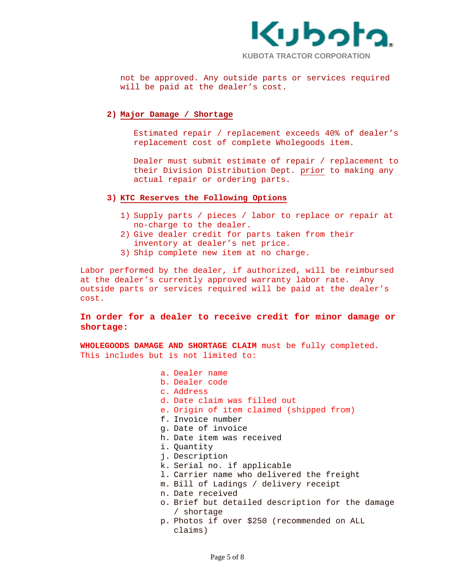

not be approved. Any outside parts or services required will be paid at the dealer's cost.

## **2) Major Damage / Shortage**

Estimated repair / replacement exceeds 40% of dealer's replacement cost of complete Wholegoods item.

Dealer must submit estimate of repair / replacement to their Division Distribution Dept. prior to making any actual repair or ordering parts.

## **3) KTC Reserves the Following Options**

- 1) Supply parts / pieces / labor to replace or repair at no-charge to the dealer.
- 2) Give dealer credit for parts taken from their inventory at dealer's net price.
- 3) Ship complete new item at no charge.

Labor performed by the dealer, if authorized, will be reimbursed at the dealer's currently approved warranty labor rate. Any outside parts or services required will be paid at the dealer's cost.

# **In order for a dealer to receive credit for minor damage or shortage:**

**WHOLEGOODS DAMAGE AND SHORTAGE CLAIM** must be fully completed. This includes but is not limited to:

> a. Dealer name b. Dealer code c. Address d. Date claim was filled out e. Origin of item claimed (shipped from) f. Invoice number g. Date of invoice h. Date item was received i. Quantity j. Description k. Serial no. if applicable l. Carrier name who delivered the freight m. Bill of Ladings / delivery receipt n. Date received o. Brief but detailed description for the damage / shortage p. Photos if over \$250 (recommended on ALL claims)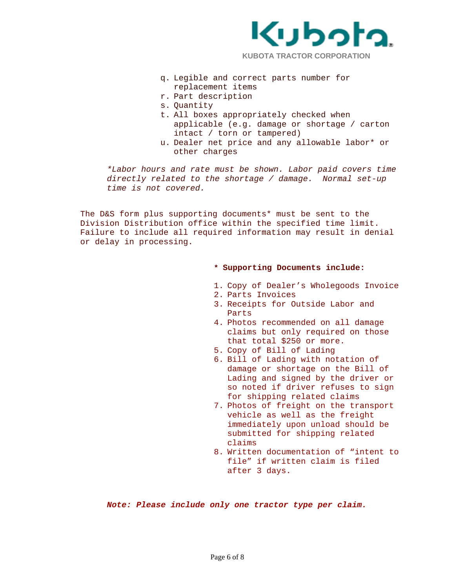

- 
- q. Legible and correct parts number for replacement items
- r. Part description
- s. Quantity
- t. All boxes appropriately checked when applicable (e.g. damage or shortage / carton intact / torn or tampered)
- u. Dealer net price and any allowable labor\* or other charges

*\*Labor hours and rate must be shown. Labor paid covers time directly related to the shortage / damage. Normal set-up time is not covered.* 

The D&S form plus supporting documents\* must be sent to the Division Distribution office within the specified time limit. Failure to include all required information may result in denial or delay in processing.

#### **\* Supporting Documents include:**

- 1. Copy of Dealer's Wholegoods Invoice
- 2. Parts Invoices
- 3. Receipts for Outside Labor and Parts
- 4. Photos recommended on all damage claims but only required on those that total \$250 or more.
- 5. Copy of Bill of Lading
- 6. Bill of Lading with notation of damage or shortage on the Bill of Lading and signed by the driver or so noted if driver refuses to sign for shipping related claims
- 7. Photos of freight on the transport vehicle as well as the freight immediately upon unload should be submitted for shipping related claims
- 8. Written documentation of "intent to file" if written claim is filed after 3 days.

*Note: Please include only one tractor type per claim.*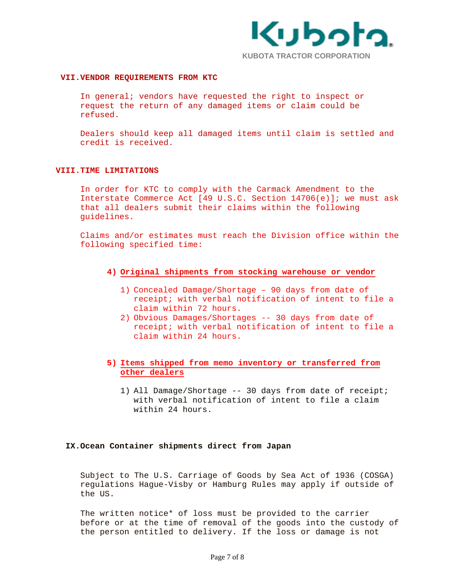

### **VII.VENDOR REQUIREMENTS FROM KTC**

In general; vendors have requested the right to inspect or request the return of any damaged items or claim could be refused.

Dealers should keep all damaged items until claim is settled and credit is received.

#### **VIII.TIME LIMITATIONS**

In order for KTC to comply with the Carmack Amendment to the Interstate Commerce Act [49 U.S.C. Section 14706(e)]; we must ask that all dealers submit their claims within the following guidelines.

Claims and/or estimates must reach the Division office within the following specified time:

- **4) Original shipments from stocking warehouse or vendor**
	- 1) Concealed Damage/Shortage 90 days from date of receipt; with verbal notification of intent to file a claim within 72 hours.
	- 2) Obvious Damages/Shortages -- 30 days from date of receipt; with verbal notification of intent to file a claim within 24 hours.

# **5) Items shipped from memo inventory or transferred from other dealers**

1) All Damage/Shortage -- 30 days from date of receipt; with verbal notification of intent to file a claim within 24 hours.

#### **IX.Ocean Container shipments direct from Japan**

Subject to The U.S. Carriage of Goods by Sea Act of 1936 (COSGA) regulations Hague-Visby or Hamburg Rules may apply if outside of the US.

The written notice\* of loss must be provided to the carrier before or at the time of removal of the goods into the custody of the person entitled to delivery. If the loss or damage is not